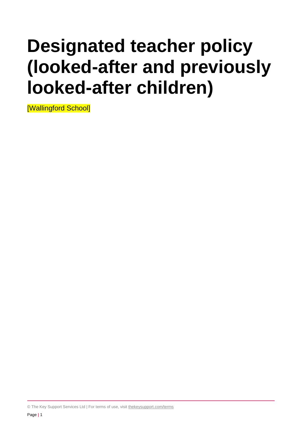# **Designated teacher policy (looked-after and previously looked-after children)**

[Wallingford School]

© The Key Support Services Ltd | For terms of use, visit [thekeysupport.com/terms](https://thekeysupport.com/terms-of-use)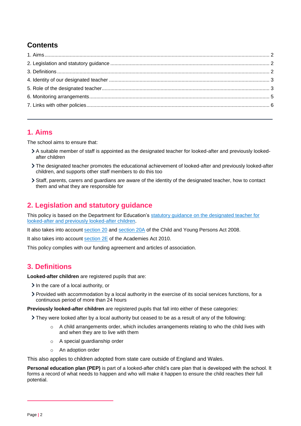## **Contents**

## <span id="page-1-0"></span>**1. Aims**

The school aims to ensure that:

- A suitable member of staff is appointed as the designated teacher for looked-after and previously lookedafter children
- The designated teacher promotes the educational achievement of looked-after and previously looked-after children, and supports other staff members to do this too
- Staff, parents, carers and guardians are aware of the identity of the designated teacher, how to contact them and what they are responsible for

## <span id="page-1-1"></span>**2. Legislation and statutory guidance**

This policy is based on the Department for Education's [statutory guidance on the designated teacher for](https://www.gov.uk/government/publications/designated-teacher-for-looked-after-children)  [looked-after and previously looked-after children.](https://www.gov.uk/government/publications/designated-teacher-for-looked-after-children)

It also takes into account [section 20](http://www.legislation.gov.uk/ukpga/2008/23/section/20) and [section 20A](http://www.legislation.gov.uk/ukpga/2008/23/section/20A) of the Child and Young Persons Act 2008.

It also takes into account [section 2E](http://www.legislation.gov.uk/ukpga/2010/32/section/2E) of the Academies Act 2010.

This policy complies with our funding agreement and articles of association.

## <span id="page-1-2"></span>**3. Definitions**

**Looked-after children** are registered pupils that are:

- $\geq$  In the care of a local authority, or
- Provided with accommodation by a local authority in the exercise of its social services functions, for a continuous period of more than 24 hours

**Previously looked-after children** are registered pupils that fall into either of these categories:

They were looked after by a local authority but ceased to be as a result of any of the following:

- $\circ$  A child arrangements order, which includes arrangements relating to who the child lives with and when they are to live with them
- o A special guardianship order
- o An adoption order

This also applies to children adopted from state care outside of England and Wales.

**Personal education plan (PEP)** is part of a looked-after child's care plan that is developed with the school. It forms a record of what needs to happen and who will make it happen to ensure the child reaches their full potential.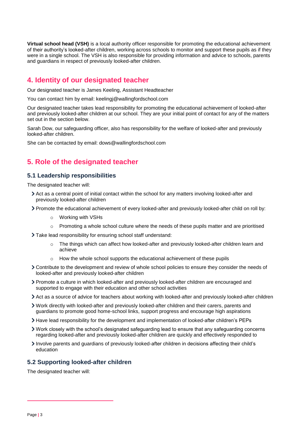**Virtual school head (VSH)** is a local authority officer responsible for promoting the educational achievement of their authority's looked-after children, working across schools to monitor and support these pupils as if they were in a single school. The VSH is also responsible for providing information and advice to schools, parents and guardians in respect of previously looked-after children.

## <span id="page-2-0"></span>**4. Identity of our designated teacher**

Our designated teacher is James Keeling, Assistant Headteacher

You can contact him by email: keelingj@wallingfordschool.com

Our designated teacher takes lead responsibility for promoting the educational achievement of looked-after and previously looked-after children at our school. They are your initial point of contact for any of the matters set out in the section below.

Sarah Dow, our safeguarding officer, also has responsibility for the welfare of looked-after and previously looked-after children.

She can be contacted by email: dows@wallingfordschool.com

## <span id="page-2-1"></span>**5. Role of the designated teacher**

#### **5.1 Leadership responsibilities**

The designated teacher will:

- Act as a central point of initial contact within the school for any matters involving looked-after and previously looked-after children
- Promote the educational achievement of every looked-after and previously looked-after child on roll by:
	- o Working with VSHs
	- $\circ$  Promoting a whole school culture where the needs of these pupils matter and are prioritised
- Take lead responsibility for ensuring school staff understand:
	- $\circ$  The things which can affect how looked-after and previously looked-after children learn and achieve
	- $\circ$  How the whole school supports the educational achievement of these pupils
- Contribute to the development and review of whole school policies to ensure they consider the needs of looked-after and previously looked-after children
- Promote a culture in which looked-after and previously looked-after children are encouraged and supported to engage with their education and other school activities
- Act as a source of advice for teachers about working with looked-after and previously looked-after children
- Work directly with looked-after and previously looked-after children and their carers, parents and guardians to promote good home-school links, support progress and encourage high aspirations
- Have lead responsibility for the development and implementation of looked-after children's PEPs
- Work closely with the school's designated safeguarding lead to ensure that any safeguarding concerns regarding looked-after and previously looked-after children are quickly and effectively responded to
- Involve parents and guardians of previously looked-after children in decisions affecting their child's education

#### **5.2 Supporting looked-after children**

The designated teacher will: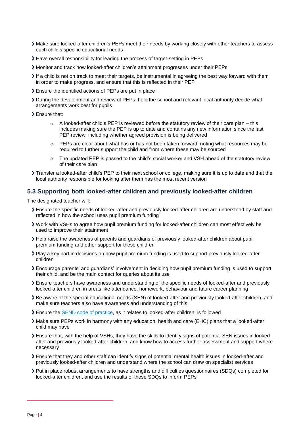- Make sure looked-after children's PEPs meet their needs by working closely with other teachers to assess each child's specific educational needs
- Have overall responsibility for leading the process of target-setting in PEPs
- Monitor and track how looked-after children's attainment progresses under their PEPs
- If a child is not on track to meet their targets, be instrumental in agreeing the best way forward with them in order to make progress, and ensure that this is reflected in their PEP
- Ensure the identified actions of PEPs are put in place
- During the development and review of PEPs, help the school and relevant local authority decide what arrangements work best for pupils
- > Ensure that:
	- $\circ$  A looked-after child's PEP is reviewed before the statutory review of their care plan this includes making sure the PEP is up to date and contains any new information since the last PEP review, including whether agreed provision is being delivered
	- $\circ$  PEPs are clear about what has or has not been taken forward, noting what resources may be required to further support the child and from where these may be sourced
	- $\circ$  The updated PEP is passed to the child's social worker and VSH ahead of the statutory review of their care plan
- Transfer a looked-after child's PEP to their next school or college, making sure it is up to date and that the local authority responsible for looking after them has the most recent version

#### **5.3 Supporting both looked-after children and previously looked-after children**

The designated teacher will:

- Ensure the specific needs of looked-after and previously looked-after children are understood by staff and reflected in how the school uses pupil premium funding
- Work with VSHs to agree how pupil premium funding for looked-after children can most effectively be used to improve their attainment
- Help raise the awareness of parents and guardians of previously looked-after children about pupil premium funding and other support for these children
- Play a key part in decisions on how pupil premium funding is used to support previously looked-after children
- Encourage parents' and guardians' involvement in deciding how pupil premium funding is used to support their child, and be the main contact for queries about its use
- Ensure teachers have awareness and understanding of the specific needs of looked-after and previously looked-after children in areas like attendance, homework, behaviour and future career planning
- Be aware of the special educational needs (SEN) of looked-after and previously looked-after children, and make sure teachers also have awareness and understanding of this
- Ensure the [SEND code of practice,](https://www.gov.uk/government/publications/send-code-of-practice-0-to-25) as it relates to looked-after children, is followed
- Make sure PEPs work in harmony with any education, health and care (EHC) plans that a looked-after child may have
- Ensure that, with the help of VSHs, they have the skills to identify signs of potential SEN issues in lookedafter and previously looked-after children, and know how to access further assessment and support where necessary
- Ensure that they and other staff can identify signs of potential mental health issues in looked-after and previously looked-after children and understand where the school can draw on specialist services
- Put in place robust arrangements to have strengths and difficulties questionnaires (SDQs) completed for looked-after children, and use the results of these SDQs to inform PEPs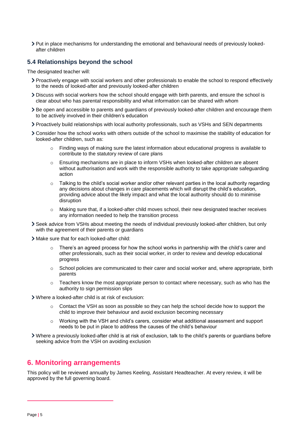Put in place mechanisms for understanding the emotional and behavioural needs of previously lookedafter children

#### **5.4 Relationships beyond the school**

The designated teacher will:

- Proactively engage with social workers and other professionals to enable the school to respond effectively to the needs of looked-after and previously looked-after children
- Discuss with social workers how the school should engage with birth parents, and ensure the school is clear about who has parental responsibility and what information can be shared with whom
- Be open and accessible to parents and guardians of previously looked-after children and encourage them to be actively involved in their children's education
- Proactively build relationships with local authority professionals, such as VSHs and SEN departments
- Consider how the school works with others outside of the school to maximise the stability of education for looked-after children, such as:
	- $\circ$  Finding ways of making sure the latest information about educational progress is available to contribute to the statutory review of care plans
	- o Ensuring mechanisms are in place to inform VSHs when looked-after children are absent without authorisation and work with the responsible authority to take appropriate safeguarding action
	- $\circ$  Talking to the child's social worker and/or other relevant parties in the local authority regarding any decisions about changes in care placements which will disrupt the child's education, providing advice about the likely impact and what the local authority should do to minimise disruption
	- o Making sure that, if a looked-after child moves school, their new designated teacher receives any information needed to help the transition process
- Seek advice from VSHs about meeting the needs of individual previously looked-after children, but only with the agreement of their parents or guardians
- Make sure that for each looked-after child:
	- $\circ$  There's an agreed process for how the school works in partnership with the child's carer and other professionals, such as their social worker, in order to review and develop educational progress
	- o School policies are communicated to their carer and social worker and, where appropriate, birth parents
	- $\circ$  Teachers know the most appropriate person to contact where necessary, such as who has the authority to sign permission slips
- Where a looked-after child is at risk of exclusion:
	- $\circ$  Contact the VSH as soon as possible so they can help the school decide how to support the child to improve their behaviour and avoid exclusion becoming necessary
	- $\circ$  Working with the VSH and child's carers, consider what additional assessment and support needs to be put in place to address the causes of the child's behaviour
- Where a previously looked-after child is at risk of exclusion, talk to the child's parents or guardians before seeking advice from the VSH on avoiding exclusion

#### <span id="page-4-0"></span>**6. Monitoring arrangements**

This policy will be reviewed annually by James Keeling, Assistant Headteacher. At every review, it will be approved by the full governing board.